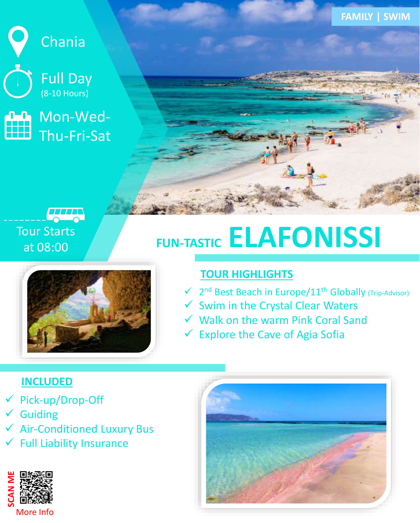

Full Day

Chania



(8-10 Hours)





## **FUN-TASTIC ELAFONISSI**



### **TOUR HIGHLIGHTS**

- ✓ 2 nd Best Beach in Europe/11th Globally (Trip-Advisor)
- $\checkmark$  Swim in the Crystal Clear Waters
- ✓ Walk on the warm Pink Coral Sand
- $\checkmark$  Explore the Cave of Agia Sofia

### **INCLUDED**

- Pick-up/Drop-Off
- **Guiding**
- ✓ Air-Conditioned Luxury Bus
- ✓ Full Liability Insurance